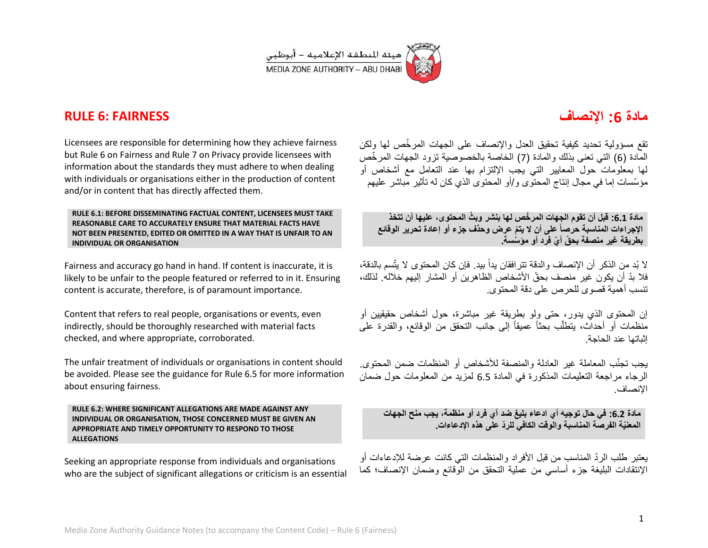

## **RULE 6: FAIRNESS**

# **مادة :6 اإلنصاف**

Licensees are responsible for determining how they achieve fairness but Rule 6 on Fairness and Rule 7 on Privacy provide licensees with information about the standards they must adhere to when dealing with individuals or organisations either in the production of content and/or in content that has directly affected them.

**RULE 6.1: BEFORE DISSEMINATING FACTUAL CONTENT, LICENSEES MUST TAKE REASONABLE CARE TO ACCURATELY ENSURE THAT MATERIAL FACTS HAVE NOT BEEN PRESENTED, EDITED OR OMITTED IN A WAY THAT IS UNFAIR TO AN INDIVIDUAL OR ORGANISATION** 

Fairness and accuracy go hand in hand. If content is inaccurate, it is likely to be unfair to the people featured or referred to in it. Ensuring content is accurate, therefore, is of paramount importance.

Content that refers to real people, organisations or events, even indirectly, should be thoroughly researched with material facts checked, and where appropriate, corroborated.

The unfair treatment of individuals or organisations in content should be avoided. Please see the guidance for Rule 6.5 for more information about ensuring fairness.

**RULE 6.2: WHERE SIGNIFICANT ALLEGATIONS ARE MADE AGAINST ANY INDIVIDUAL OR ORGANISATION, THOSE CONCERNED MUST BE GIVEN AN APPROPRIATE AND TIMELY OPPORTUNITY TO RESPOND TO THOSE ALLEGATIONS** 

Seeking an appropriate response from individuals and organisations who are the subject of significant allegations or criticism is an essential تقع مسؤولية تحديد كيفية تحقيق العدل والإنصاف على الجهات المرخّص لها ولكن المادة (6) التي تعني بذلك والمادة (7) الخاصة بالخصوصية تزود الجهات المر خّص لها بمعلومات حول المعابير التي بجب الإلتزام بها عند التعامل مع أشخاص أو مؤسّسات إما في مجال إنتاج المحتوى و/أو المحتوى الذي كان له تأثير مباشر عليهم

**مادة :6.6 قبل أن تقوم الجهات المر ّخص لها بنشر وب ّث المحتوى، علٌها أن تتخذ ّم عرض وحذف جزء أو إعادة تحرٌر الوقائع اإلجراءات المناسبة حرصاً على أن ال ٌت بطرٌقة غٌر منصفة بح ّق أ ّي فرد أو مؤ ّسسة.**

لا بّد من الذكر أن الإنصاف والدقة تترافقان يداً بيد. فإن كان المحتوى لا يتّسم بالدقة، فلا بدّ أن بكون غير منصف بحقّ الأشخاص الظاهرين أو المشار إليهم خلاله. لذلك، تنسب أهمية قصوى للحرص على دقة المحتوى.

إن المحتوى الذي بدور ، حتى ولو بطريقة غير ٍمباشرة، حول أشخاص حقيقيين أو منظمات أو أحداّث، يتطلّب بحثاً عميقاً إلى جانب التحقق من الوقائع، والقدرة على إثباتها عند الحاجة.

ٌجب تجنّب المعاملة غٌر العادلة والمنصفة لألشخاص أو المنظمات ضمن المحتوى. الرجاء مراجعة التعليمات المذكورة في المادة 6.5 لمزيد من المعلومات حول ضمان اإلنصاف.

**مادة :6.6 فً حال توجٌه أي ادعاء بلٌغ ضد أي فرد أو منظمة، ٌجب منح الجهات المعنٌّة الفرصة المناسبة والوقت الكافً للرّد على هذه اإلدعاءات.**

يعتبر طلب الردّ المناسب من قبل الأفر اد والمنظمات التي كانت عرضة للإدعاءات أو الإنتقادات البليغة جزء أساسي من عملية التحقق من الوقائع وضمان الإنصاف؛ كما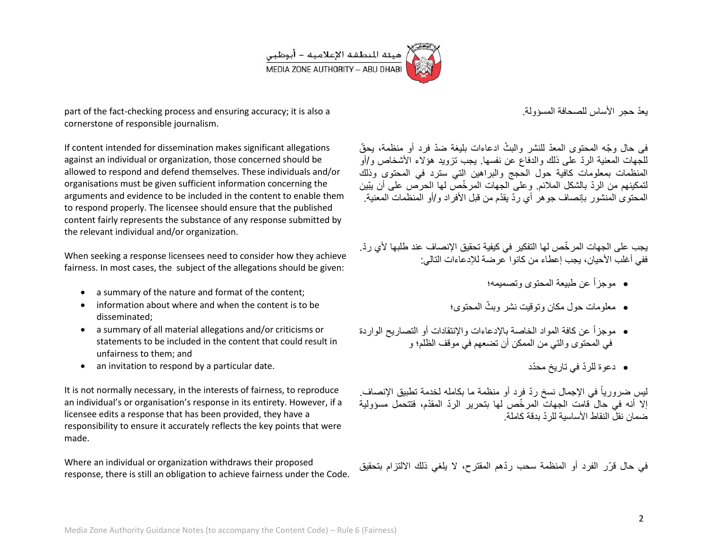

part of the fact-checking process and ensuring accuracy; it is also a cornerstone of responsible journalism.

If content intended for dissemination makes significant allegations against an individual or organization, those concerned should be allowed to respond and defend themselves. These individuals and/or organisations must be given sufficient information concerning the arguments and evidence to be included in the content to enable them to respond properly. The licensee should ensure that the published content fairly represents the substance of any response submitted by the relevant individual and/or organization.

When seeking a response licensees need to consider how they achieve fairness. In most cases, the subject of the allegations should be given:

- a summary of the nature and format of the content;
- information about where and when the content is to be disseminated;
- a summary of all material allegations and/or criticisms or statements to be included in the content that could result in unfairness to them; and
- an invitation to respond by a particular date.

It is not normally necessary, in the interests of fairness, to reproduce an individual's or organisation's response in its entirety. However, if a licensee edits a response that has been provided, they have a responsibility to ensure it accurately reflects the key points that were made.

Where an individual or organization withdraws their proposed response, there is still an obligation to achieve fairness under the Code. ٌعّد حجر األساس للصحافة المسؤولة.

في حال وجّه المحتوى المعدّ للنشر والبثّ ادعاءات بليغة ضدّ فرد أو منظمة، يحقّ للجهات المعنية الردّ على ذلك والدفاع عن نفسها. يجب تزويد هؤلاء الأشخاص و/أو المنظمات بمعلومات كافية حول الحجج والبراهين التي سترد في المحتوى وذلك لتمكينهم من الردّ بالشكل الملائم. وعلى الجهات المر خّص لها الحرص على أن بِبّين المحتوى المنشور بإنصاف جوهر أي ردّ بقدّم من قبل الأفراد و/أو المنظمات المعنية.

يجب على الجهات المر خّص لها التفكير في كيفية تحقيق الإنصاف عند طلبها لأي ردّ. ففي أغلب الأحيان، يجب إعطاء من كانوا عر ضة للإدعاءات التالي:

- موجزاً عن طبٌعة المحتوى وتصمٌمه؛
- ّث المحتوى؛ معلومات حول مكان وتوقٌت نشر وب
- موجزاً عن كافة المواد الخاصة باإلدعاءات واإلنتقادات أو التصارٌح الواردة في المحتوى و التي من الممكن أن تضعهم في موقف الظلم؛ و
	- دعوة للرّد فً تارٌخ محّدد

ليس ضرورياً في الإجمال نسخ ردّ فرد أو منظمة ما بكامله لخدمة تطبيق الإنصاف. إلا أنه في حال قامت الجهات المر خّص لها بتحرير الردّ المقدّم، فتتحمل مسؤولية ضمان نقل النقاط الأساسية للر دّ بدقة كاملة.

في حال قرّر الفرد أو المنظمة سحب ردّهم المقترح، لا يلغي ذلك الالتزام بتحقيق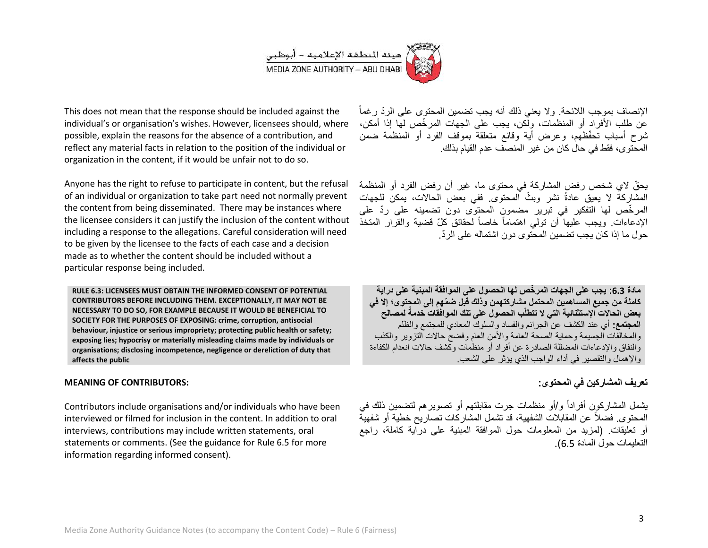

This does not mean that the response should be included against the individual's or organisation's wishes. However, licensees should, where possible, explain the reasons for the absence of a contribution, and reflect any material facts in relation to the position of the individual or organization in the content, if it would be unfair not to do so.

Anyone has the right to refuse to participate in content, but the refusal of an individual or organization to take part need not normally prevent the content from being disseminated. There may be instances where the licensee considers it can justify the inclusion of the content without including a response to the allegations. Careful consideration will need to be given by the licensee to the facts of each case and a decision made as to whether the content should be included without a particular response being included.

**RULE 6.3: LICENSEES MUST OBTAIN THE INFORMED CONSENT OF POTENTIAL CONTRIBUTORS BEFORE INCLUDING THEM. EXCEPTIONALLY, IT MAY NOT BE NECESSARY TO DO SO, FOR EXAMPLE BECAUSE IT WOULD BE BENEFICIAL TO SOCIETY FOR THE PURPOSES OF EXPOSING: crime, corruption, antisocial behaviour, injustice or serious impropriety; protecting public health or safety; exposing lies; hypocrisy or materially misleading claims made by individuals or organisations; disclosing incompetence, negligence or dereliction of duty that affects the public**

#### **MEANING OF CONTRIBUTORS:**

Contributors include organisations and/or individuals who have been interviewed or filmed for inclusion in the content. In addition to oral interviews, contributions may include written statements, oral statements or comments. (See the guidance for Rule 6.5 for more information regarding informed consent).

الإنصاف بموجب اللائحة. ولا يعني ذلك أنه يجب تضمين المحتوى على الردّ رغماً عن طلب الأفراد أو المنظمات، ولكن، يجب على الجهات المرخّص لها إذا أمكن، شرح أسباب تحفّظهم، وعرض أية وقائع متعلقة بموقف الفرد أو المنظمة ضمن المحتوى، فقط في حال كان من غير المنصف عدم القبام بذلك.

يحقّ لاي شخص رفض المشاركة في محتوى ما، غير أن رفض الفرد أو المنظمة المشاركة لا يعيق عادةً نشر وبثّ المحتوى ففي بعض الحالات، يمكن للجهات المرخّص لها التفكير في تبرير مضمون المحتوى دون تضمينه على ردّ على الإدعاءات. ويجب عليها أن تولي اهتماماً خاصاً لحقائق كلّ قضية والقرار المتخذ حول ما إذا كان بحب تضمين المحتوى دون اشتماله على الريّ

**مادة :6.6 ٌجب على الجهات المر ّخص لها الحصول على الموافقة المبنٌة على دراٌة كاملة من جمٌع المساهمٌن المحتمل مشاركتهمن وذلك قبل ض ّمهم إلى المحتوى؛ إال فً لمصالح بعض الحاالت اإلستثنائٌة التً ال تتطلّب الحصول على تلك الموافقات خدمةً المجتمع:** أي عند الكشف عن الجرائم والفساد والسلوك المعادي للمجتمع والظلم والمخالفات الجسيمة وحماية الصحة العامة والأمن العام وفضح حالات التزوير والكذب والنفاق واإلدعاءات المضللة الصادرة عن أفراد أو منظمات وكشف حاالت انعدام الكفاءة والإهمال والتقصير ً في أداء الواجب الذي يؤثر على الشعب.

### تعريف المشار كين في المحتوى:

يشمل المشار كون أفر اداً و/أو منظمات جرت مقابلتهم أو تصوير هم لتضمين ذلك في المحتوى. فضلاً عن المقابلات الشفهية، قد تشمل المشار كات تصار بح خطبة أو شفهيةٌ أو تعليقات. (لمزيد من المعلومات حول الموافقة المبنية على دراية كاملة، راجع التعليمات حول المادة 6.5).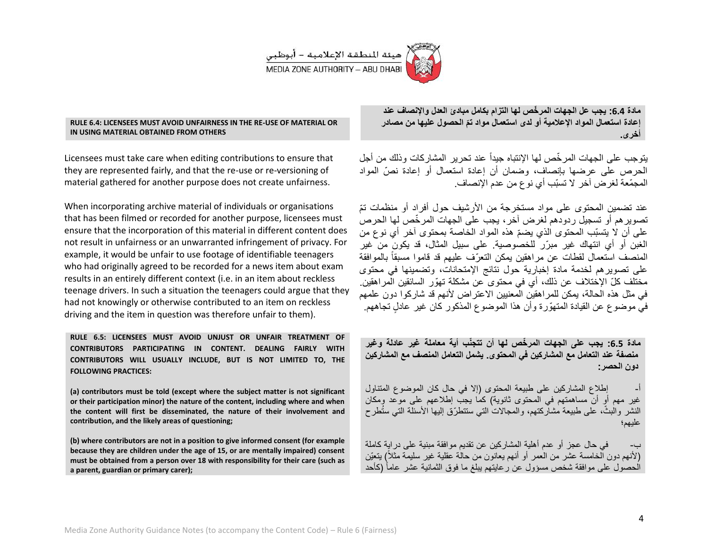

#### **RULE 6.4: LICENSEES MUST AVOID UNFAIRNESS IN THE RE-USE OF MATERIAL OR IN USING MATERIAL OBTAINED FROM OTHERS**

Licensees must take care when editing contributions to ensure that they are represented fairly, and that the re-use or re-versioning of material gathered for another purpose does not create unfairness.

When incorporating archive material of individuals or organisations that has been filmed or recorded for another purpose, licensees must ensure that the incorporation of this material in different content does not result in unfairness or an unwarranted infringement of privacy. For example, it would be unfair to use footage of identifiable teenagers who had originally agreed to be recorded for a news item about exam results in an entirely different context (i.e. in an item about reckless teenage drivers. In such a situation the teenagers could argue that they had not knowingly or otherwise contributed to an item on reckless driving and the item in question was therefore unfair to them).

**RULE 6.5: LICENSEES MUST AVOID UNJUST OR UNFAIR TREATMENT OF CONTRIBUTORS PARTICIPATING IN CONTENT. DEALING FAIRLY WITH CONTRIBUTORS WILL USUALLY INCLUDE, BUT IS NOT LIMITED TO, THE FOLLOWING PRACTICES:** 

**(a) contributors must be told (except where the subject matter is not significant or their participation minor) the nature of the content, including where and when the content will first be disseminated, the nature of their involvement and contribution, and the likely areas of questioning;**

**(b) where contributors are not in a position to give informed consent (for example because they are children under the age of 15, or are mentally impaired) consent must be obtained from a person over 18 with responsibility for their care (such as a parent, guardian or primary carer);**

**مادة :6.6 ٌجب عل الجهات المر ّخص لها التزام بكامل مبادئ العدل واإلنصاف عند**  إعادة استعمال المواد الإعلامية أو لدى استعمال مواد تمّ الحصول عليها من مصادر **أخرى.**

يتوجب على الجهات المر خّص لها الإنتباه جيداً عند تحر بر المشار كات وذلك من أجل الحرص على عرضها بإنصاف، وضمان أن إعادة استعمال أو إعادة نصّ المواد المجمّعة لغرض آخر ال تسبّب أي نوع من عدم اإلنصاف.

عند تضمين المحتوى على مواد مستخرجة من الأرشيف حول أفراد أو منظمات تمّ تصوير هم أو تسجيل ر دودهم لغر ض آخر ، يجب على الجهات المر خّص لها الحر ص على أن لا يتسبّب المحتوى الذي يضمّ هذه المواد الخاصة بمحتوى آخر أي نوع من الغبن أو أي انتهاك غير مبرّر للخصوصية. على سبيل المثال، قد يكون من غير المنصف استعمال لقطات عن مراهقين بمكن التعرّف عليهم قد قاموا مسبقاً بالموافقة على تصوير هم لخدمة مادة إخبارية حول نتائج الإمتحانات، وتضمينها في محتوى مختلف كلّ الإختلاف عن ذلك، أي في محتوى عن مشكلة تهوّر السائقين الْمر اهقين. في مثل هذه الحالة، يمكن للمراهقين المعنيين الاعتراض لأنهم قد شاركوا دون علمهم في موضوع عن القيادة المتهوّرة وأن هذا الموضوع المذكور كان غير عادل تجاههم.

**مادة :6.6 ٌجب على الجهات المر ّخص لها أن تتجّنب أٌة معاملة غٌر عادلة وغٌر** منصفة عند التعامل مع المشاركين فى المحتوى<sub>.</sub> يشمل التعامل المنصف مع المشاركين **دون الحصر:**

إطلاع المشاركين على طبيعة المحتوى (إلا في حال كان الموضوع المتناول غير مهم أو أن مساهمتهم في المحتوى ثانوية) كما يجب إطلاعهم على موعد ومكان النشر والبثّ، على طبيعة مشاركتهم، والمجالات التي ستتطرّق إليها الأسئلة التي سُتُطرح عليهم؛

في حال عجز أو عدم أهلية المشاركين عن تقديم موافقة مبنية على دراية كاملة (لأنهم دون الخامسة عشر من العمر أو أنهم يعانون من حالَّة عقلية غير سليمة مثلاً) بنعيّن الحصول على موافقة شخص مسؤول عن رعابتهم ببلغ ما فوق الثمانية عشر عاماً (كأحد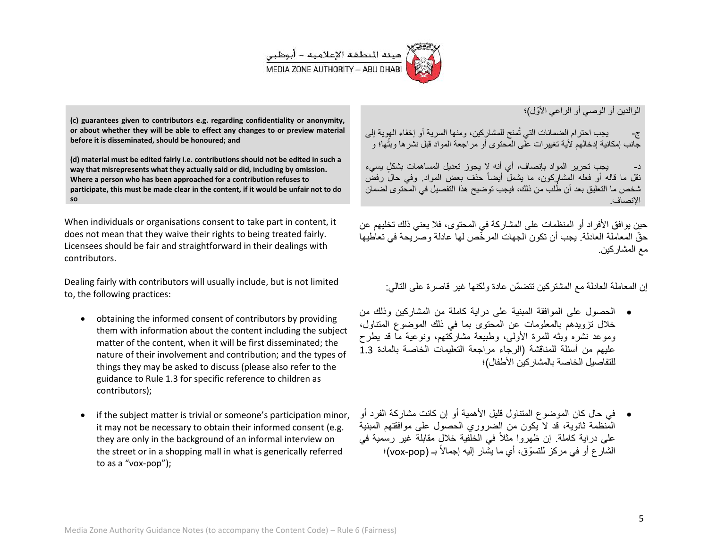

الوالدين أو الوصبي أو الراعي الأوّ ل)؛

ج- `` يجب احترام الضمانات التي تُمنح للمشاركين، ومنها السرية أو إخفاء الهوية إلى جانب إمكانية إدخالهم لأية تغييرات على المحتوى أو مراجعة المواد قبل نشرها وبثها؛ و **. " آ** 

د- ٪ يجب تحرير المواد بإنصاف، أي أنه لا يجوز تعديل المساهمات بشكل يسيء نقل ما قاله أو فعله المشاركون، ما يشمل أيضاً حذف بعض المواد. وفي حال رفض شخص ما التعليق بعد أن طُلب من ذلك، فيجب توضيح هذا التفصيل في المحتوى لضمان اإلنصاف.

حين يوافق الأفراد أو المنظمات على المشاركة في المحتوى، فلا يعني ذلك تخليهم عن حقّ المعاملة العادلة. بجب أن تكون الجهات المر خّص لها عادلة وصرٌ بحة في تعاطيها مع المشاركين.

إن المعاملة العادلة مع المشتركين تتضمّن عادة ولكنها غير قاصر ة على التالي:

- الحصول على الموافقة المبنٌة على دراٌة كاملة من المشاركٌن وذلك من خلال تزويدهم بالمعلومات عن المحتوى بما في ذلك الموضوع المتناول، وموعد نشره وبثه للمرة الأولى، وطبيعة مشاركتهم، ونوعية ماً قد بطرح عليهم من أسئلة للمناقشة (الرجاء مراجعة التعليمات الخاصة بالمادة 1.3 للتفاصيل الخاصة بالمشاركين الأطفال)؛
- فً حال كان الموضوع المتناول قلٌل األهمٌة أو إن كانت مشاركة الفرد أو المنظمة ثانوية، قد لا يكون من الضروري الحصول على موافقتهم المبنية على دراية كاملة. إن ظهروا مثلاً في الخلفية خلال مقابلة غير رسمية في الشارع أو في مركز للتسوّق، أي ما يشار إليه إجمالاً بـ (vox-pop)؛

**(c) guarantees given to contributors e.g. regarding confidentiality or anonymity, or about whether they will be able to effect any changes to or preview material before it is disseminated, should be honoured; and**

**(d) material must be edited fairly i.e. contributions should not be edited in such a way that misrepresents what they actually said or did, including by omission. Where a person who has been approached for a contribution refuses to participate, this must be made clear in the content, if it would be unfair not to do so** 

When individuals or organisations consent to take part in content, it does not mean that they waive their rights to being treated fairly. Licensees should be fair and straightforward in their dealings with contributors.

Dealing fairly with contributors will usually include, but is not limited to, the following practices:

- obtaining the informed consent of contributors by providing them with information about the content including the subject matter of the content, when it will be first disseminated; the nature of their involvement and contribution; and the types of things they may be asked to discuss (please also refer to the guidance to Rule 1.3 for specific reference to children as contributors);
- if the subject matter is trivial or someone's participation minor, it may not be necessary to obtain their informed consent (e.g. they are only in the background of an informal interview on the street or in a shopping mall in what is generically referred to as a "vox-pop");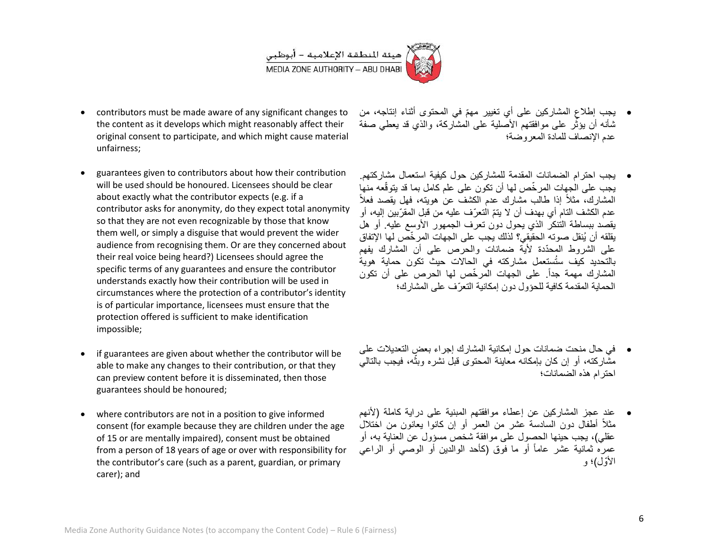

- contributors must be made aware of any significant changes to the content as it develops which might reasonably affect their original consent to participate, and which might cause material unfairness;
- guarantees given to contributors about how their contribution will be used should be honoured. Licensees should be clear about exactly what the contributor expects (e.g. if a contributor asks for anonymity, do they expect total anonymity so that they are not even recognizable by those that know them well, or simply a disguise that would prevent the wider audience from recognising them. Or are they concerned about their real voice being heard?) Licensees should agree the specific terms of any guarantees and ensure the contributor understands exactly how their contribution will be used in circumstances where the protection of a contributor's identity is of particular importance, licensees must ensure that the protection offered is sufficient to make identification impossible;
- if guarantees are given about whether the contributor will be able to make any changes to their contribution, or that they can preview content before it is disseminated, then those guarantees should be honoured;
- where contributors are not in a position to give informed consent (for example because they are children under the age of 15 or are mentally impaired), consent must be obtained from a person of 18 years of age or over with responsibility for the contributor's care (such as a parent, guardian, or primary carer); and
- يجب إطلاع المشاركين على أي تغيير مهمّ في المحتوى أثناء إنتاجه، من شأنه أن بؤثّر على موافقتهم الأصّلية على الْمشّاركة، والذي قد يعطي صفة عدم اإلنصاف للمادة المعروضة؛
- بجب احترام الضمانات المقدمة للمشاركين حول كبفية استعمال مشاركتهم. يجب على الجهات المر خّص لها أن تكون على علم كامل بما قد يتوقّعه منها المشارك، مثلاً إذا طالب مشارك عدم الكشف عن هويته، فهل يقصد فعلاً عدم الكشف التام أي بهدف أن لا يتمّ التعرّ ف عليه من قبل المقرّبين إليه، أو يقصد ببساطة التنكر الذي يحول دون تعرف الجمهور الأوسع عليه. أو هل يقلقه أن يُنقل صوته الحقيقي؟ لذلك يجب على الجهات المرخّص لها الإتفاق على الشروط المحدّدة لأية ضمانات والحرص على أن المشارك يفهم بالتحديد كيف ستُستعمل مشاركته في الحالات حيث تكون حماية هويةً المشارك مهمة جداً. على الجهات المرخّص لها الحرص على أن تكون الحماية المقدمة كافية للحؤول دون إمكانية التعرّف على المشارك؛
- فً حال منحت ضمانات حول إمكانٌة المشارك إجراء بعض التعدٌالت على مشاركته، أو إن كان بإمكانه معاينة المحتوى قبل نشره وبثه، فيجب بالتالي **:\*** احترام هذه الضمانات؛
- عند عجز المشاركٌن عن إعطاء موافقتهم المبنٌة على دراٌة كاملة )ألنهم مثلاً أطفال دون السادسة عشر من العمر أو إن كانوا يعانون من اختلال عقلي)، يجب حينها الحصول على موافقة شخص مسؤول عن العناية به، أو عمرهُ ثمانية عشر عاماً أو ما فوق (كأحد الوالدين أو الوصـي أو الراعـي الأوّ ل)؛ و